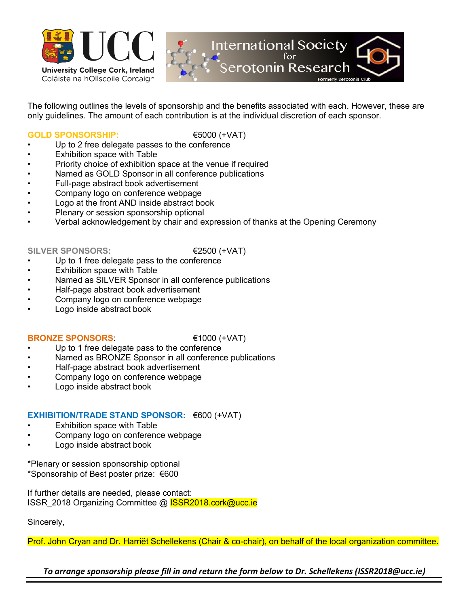



The following outlines the levels of sponsorship and the benefits associated with each. However, these are only guidelines. The amount of each contribution is at the individual discretion of each sponsor.

# **GOLD SPONSORSHIP:** €5000 (+VAT)

- Up to 2 free delegate passes to the conference
- Exhibition space with Table
- Priority choice of exhibition space at the venue if required
- Named as GOLD Sponsor in all conference publications
- Full-page abstract book advertisement
- Company logo on conference webpage
- Logo at the front AND inside abstract book
- Plenary or session sponsorship optional
- Verbal acknowledgement by chair and expression of thanks at the Opening Ceremony

### SILVER SPONSORS: <del>€2500 (+</del>VAT)

- Up to 1 free delegate pass to the conference
- Exhibition space with Table
- Named as SILVER Sponsor in all conference publications
- Half-page abstract book advertisement
- Company logo on conference webpage
- Logo inside abstract book

## **BRONZE SPONSORS:** €1000 (+VAT)

- Up to 1 free delegate pass to the conference
- Named as BRONZE Sponsor in all conference publications
- Half-page abstract book advertisement
- Company logo on conference webpage
- Logo inside abstract book

## **EXHIBITION/TRADE STAND SPONSOR:** €600 (+VAT)

- Exhibition space with Table
- Company logo on conference webpage
- Logo inside abstract book

\*Plenary or session sponsorship optional \*Sponsorship of Best poster prize: €600

If further details are needed, please contact: ISSR\_2018 Organizing Committee @ **ISSR2018.cork@ucc.ie** 

Sincerely,

Prof. John Cryan and Dr. Harriët Schellekens (Chair & co-chair), on behalf of the local organization committee.

*To arrange sponsorship please fill in and return the form below to Dr. Schellekens (ISSR2018@ucc.ie)*